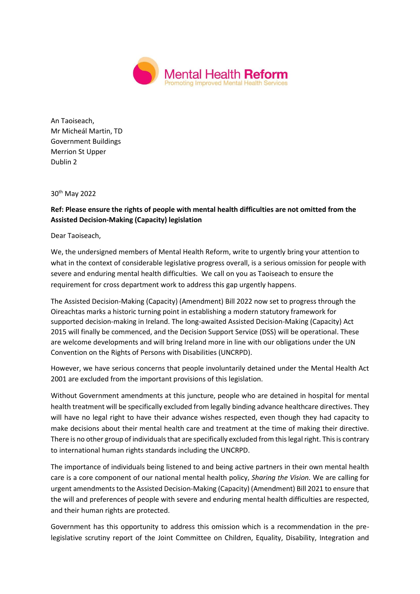

An Taoiseach, Mr Micheál Martin, TD Government Buildings Merrion St Upper Dublin 2

30th May 2022

## **Ref: Please ensure the rights of people with mental health difficulties are not omitted from the Assisted Decision-Making (Capacity) legislation**

Dear Taoiseach,

We, the undersigned members of Mental Health Reform, write to urgently bring your attention to what in the context of considerable legislative progress overall, is a serious omission for people with severe and enduring mental health difficulties. We call on you as Taoiseach to ensure the requirement for cross department work to address this gap urgently happens.

The Assisted Decision-Making (Capacity) (Amendment) Bill 2022 now set to progress through the Oireachtas marks a historic turning point in establishing a modern statutory framework for supported decision-making in Ireland. The long-awaited Assisted Decision-Making (Capacity) Act 2015 will finally be commenced, and the Decision Support Service (DSS) will be operational. These are welcome developments and will bring Ireland more in line with our obligations under the UN Convention on the Rights of Persons with Disabilities (UNCRPD).

However, we have serious concerns that people involuntarily detained under the Mental Health Act 2001 are excluded from the important provisions of this legislation.

Without Government amendments at this juncture, people who are detained in hospital for mental health treatment will be specifically excluded from legally binding advance healthcare directives. They will have no legal right to have their advance wishes respected, even though they had capacity to make decisions about their mental health care and treatment at the time of making their directive. There is no other group of individuals that are specifically excluded from this legal right. This is contrary to international human rights standards including the UNCRPD.

The importance of individuals being listened to and being active partners in their own mental health care is a core component of our national mental health policy, *Sharing the Vision.* We are calling for urgent amendments to the Assisted Decision-Making (Capacity) (Amendment) Bill 2021 to ensure that the will and preferences of people with severe and enduring mental health difficulties are respected, and their human rights are protected.

Government has this opportunity to address this omission which is a recommendation in the prelegislative scrutiny report of the Joint Committee on Children, Equality, Disability, Integration and